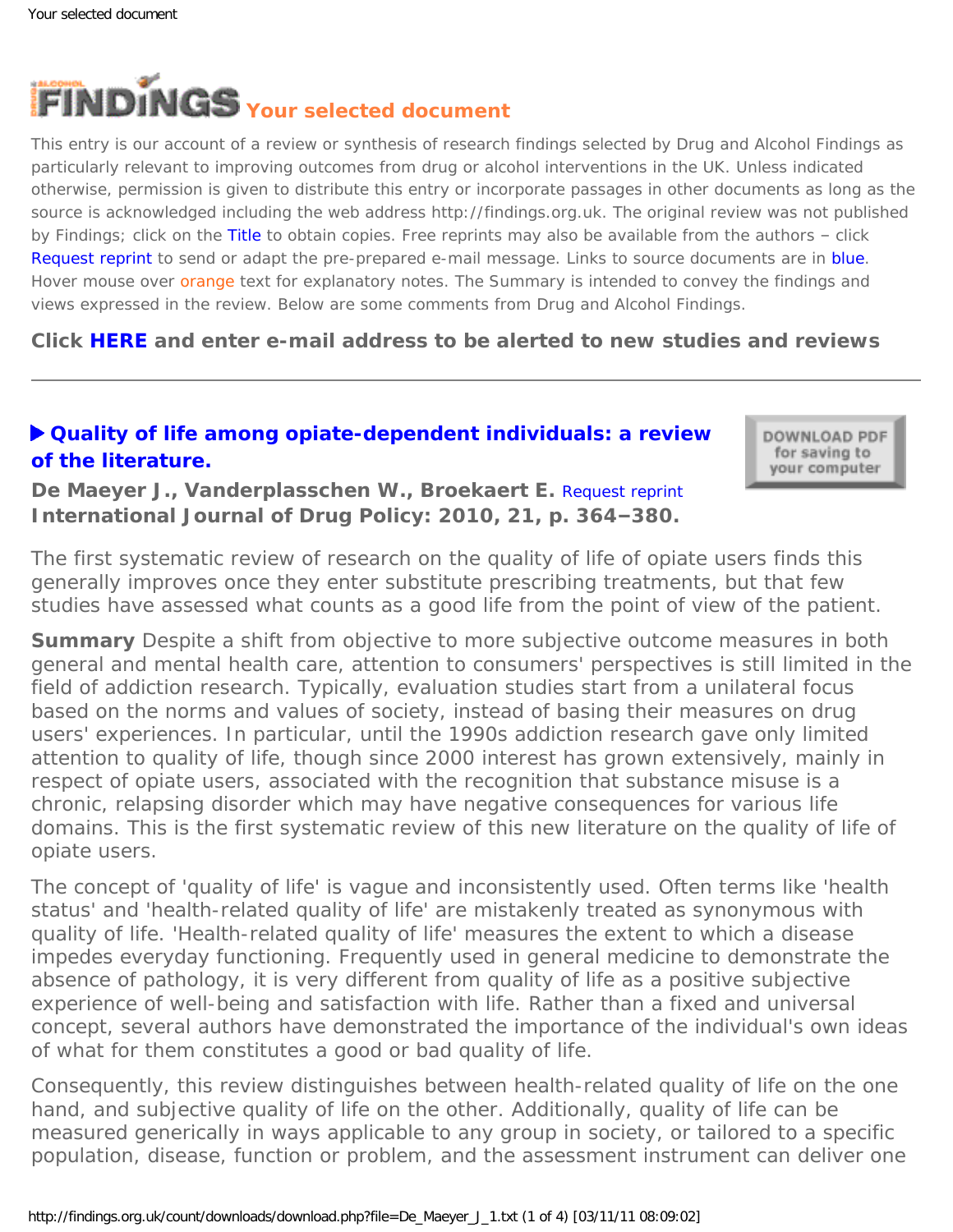

This entry is our account of a review or synthesis of research findings selected by Drug and Alcohol Findings as particularly relevant to improving outcomes from drug or alcohol interventions in the UK. Unless indicated otherwise, permission is given to distribute this entry or incorporate passages in other documents as long as the source is acknowledged including the web address http://findings.org.uk. The original review was not published by Findings; click on the Title to obtain copies. Free reprints may also be available from the authors - click Request reprint to send or adapt the pre-prepared e-mail message. Links to source documents are in blue. Hover mouse over orange text for explanatory notes. The Summary is intended to convey the findings and views expressed in the review. Below are some comments from Drug and Alcohol Findings.

**Click [HERE](https://findings.org.uk/index.php#signUp) and enter e-mail address to be alerted to new studies and reviews**

# **[Quality of life among opiate-dependent individuals: a review](http://dx.doi.org/10.1016/j.drugpo.2010.01.010)  [of the literature.](http://dx.doi.org/10.1016/j.drugpo.2010.01.010)**

DOWNLOAD PDF for saving to your computer

**De Maeyer J., Vanderplasschen W., Broekaert E.** [Request reprint](mailto:Jessica.Demaeyer@UGent.be?Subject=Reprint%20request&body=Dear Dr De Maeyer%0A%0AOn the Drug and Alcohol Findings web site (https://findings.org.uk) I read about your article:%0ADe Maeyer J., Vanderplasschen W., Broekaert E. Quality of life among opiate-dependent individuals: a review of the literature. International Journal of Drug Policy: 2010, 21, p. 364-380.%0A%0AWould it be possible to for me to be sent a PDF reprint or the manuscript by return e-mail?%0A) **International Journal of Drug Policy: 2010, 21, p. 364–380.**

*The first systematic review of research on the quality of life of opiate users finds this generally improves once they enter substitute prescribing treatments, but that few studies have assessed what counts as a good life from the point of view of the patient.*

**Summary** Despite a shift from objective to more subjective outcome measures in both general and mental health care, attention to consumers' perspectives is still limited in the field of addiction research. Typically, evaluation studies start from a unilateral focus based on the norms and values of society, instead of basing their measures on drug users' experiences. In particular, until the 1990s addiction research gave only limited attention to quality of life, though since 2000 interest has grown extensively, mainly in respect of opiate users, associated with the recognition that substance misuse is a chronic, relapsing disorder which may have negative consequences for various life domains. This is the first systematic review of this new literature on the quality of life of opiate users.

The concept of 'quality of life' is vague and inconsistently used. Often terms like 'health status' and 'health-related quality of life' are mistakenly treated as synonymous with quality of life. 'Health-related quality of life' measures the extent to which a disease impedes everyday functioning. Frequently used in general medicine to demonstrate the *absence* of pathology, it is very different from quality of life as a *positive* subjective experience of well-being and satisfaction with life. Rather than a fixed and universal concept, several authors have demonstrated the importance of the individual's own ideas of what for them constitutes a good or bad quality of life.

Consequently, this review distinguishes between health-related quality of life on the one hand, and subjective quality of life on the other. Additionally, quality of life can be measured generically in ways applicable to any group in society, or tailored to a specific population, disease, function or problem, and the assessment instrument can deliver one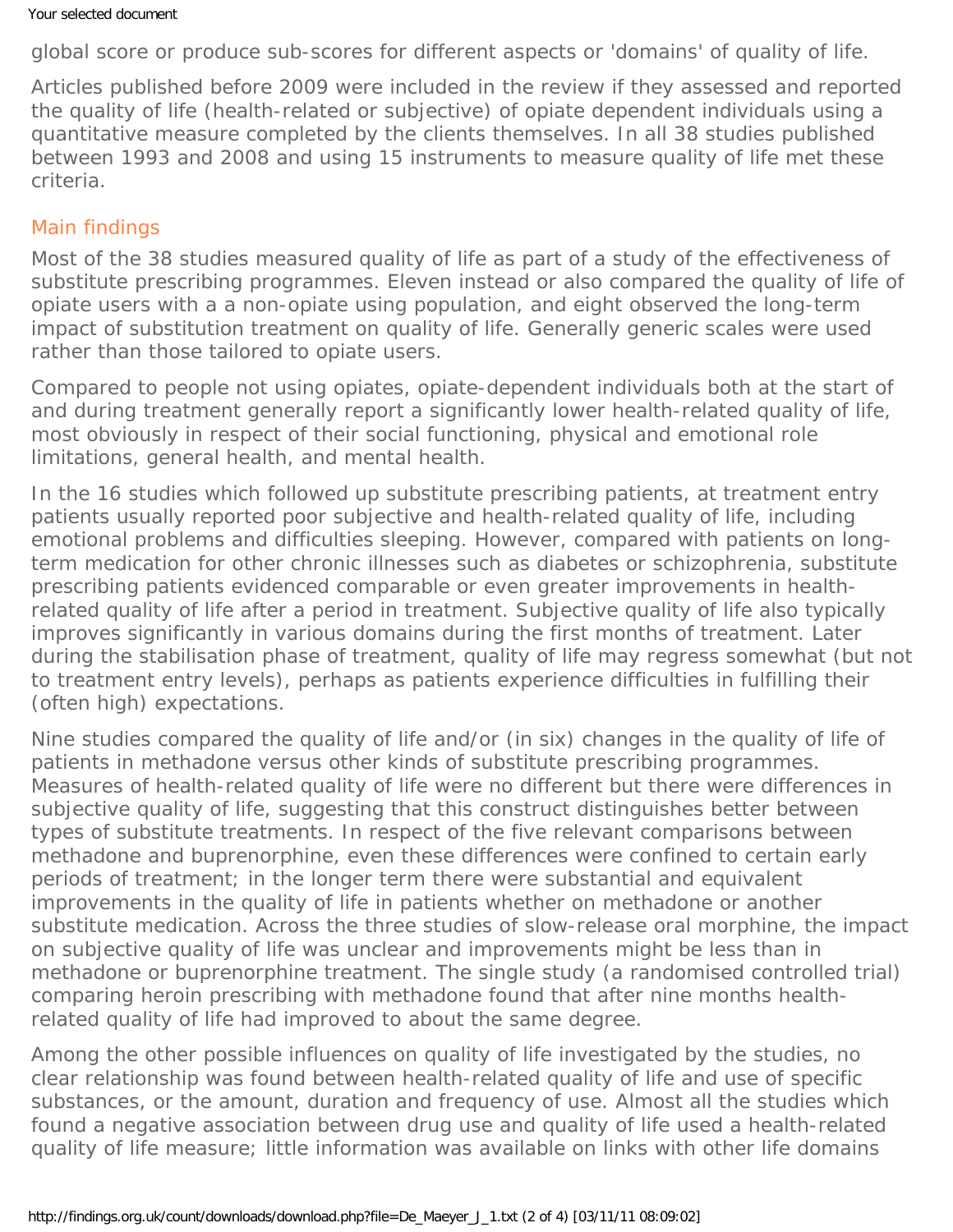global score or produce sub-scores for different aspects or 'domains' of quality of life.

Articles published before 2009 were included in the review if they assessed and reported the quality of life (health-related or subjective) of opiate dependent individuals using a quantitative measure completed by the clients themselves. In all 38 studies published between 1993 and 2008 and using 15 instruments to measure quality of life met these criteria.

# Main findings

Most of the 38 studies measured quality of life as part of a study of the effectiveness of substitute prescribing programmes. Eleven instead or also compared the quality of life of opiate users with a a non-opiate using population, and eight observed the long-term impact of substitution treatment on quality of life. Generally generic scales were used rather than those tailored to opiate users.

Compared to people not using opiates, opiate-dependent individuals both at the start of and during treatment generally report a significantly lower health-related quality of life, most obviously in respect of their social functioning, physical and emotional role limitations, general health, and mental health.

In the 16 studies which followed up substitute prescribing patients, at treatment entry patients usually reported poor subjective and health-related quality of life, including emotional problems and difficulties sleeping. However, compared with patients on longterm medication for other chronic illnesses such as diabetes or schizophrenia, substitute prescribing patients evidenced comparable or even greater improvements in healthrelated quality of life after a period in treatment. Subjective quality of life also typically improves significantly in various domains during the first months of treatment. Later during the stabilisation phase of treatment, quality of life may regress somewhat (but not to treatment entry levels), perhaps as patients experience difficulties in fulfilling their (often high) expectations.

Nine studies compared the quality of life and/or (in six) changes in the quality of life of patients in methadone versus other kinds of substitute prescribing programmes. Measures of health-related quality of life were no different but there were differences in subjective quality of life, suggesting that this construct distinguishes better between types of substitute treatments. In respect of the five relevant comparisons between methadone and buprenorphine, even these differences were confined to certain early periods of treatment; in the longer term there were substantial and equivalent improvements in the quality of life in patients whether on methadone or another substitute medication. Across the three studies of slow-release oral morphine, the impact on subjective quality of life was unclear and improvements might be less than in methadone or buprenorphine treatment. The single study (a randomised controlled trial) comparing heroin prescribing with methadone found that after nine months healthrelated quality of life had improved to about the same degree.

Among the other possible influences on quality of life investigated by the studies, no clear relationship was found between health-related quality of life and use of specific substances, or the amount, duration and frequency of use. Almost all the studies which found a negative association between drug use and quality of life used a health-related quality of life measure; little information was available on links with other life domains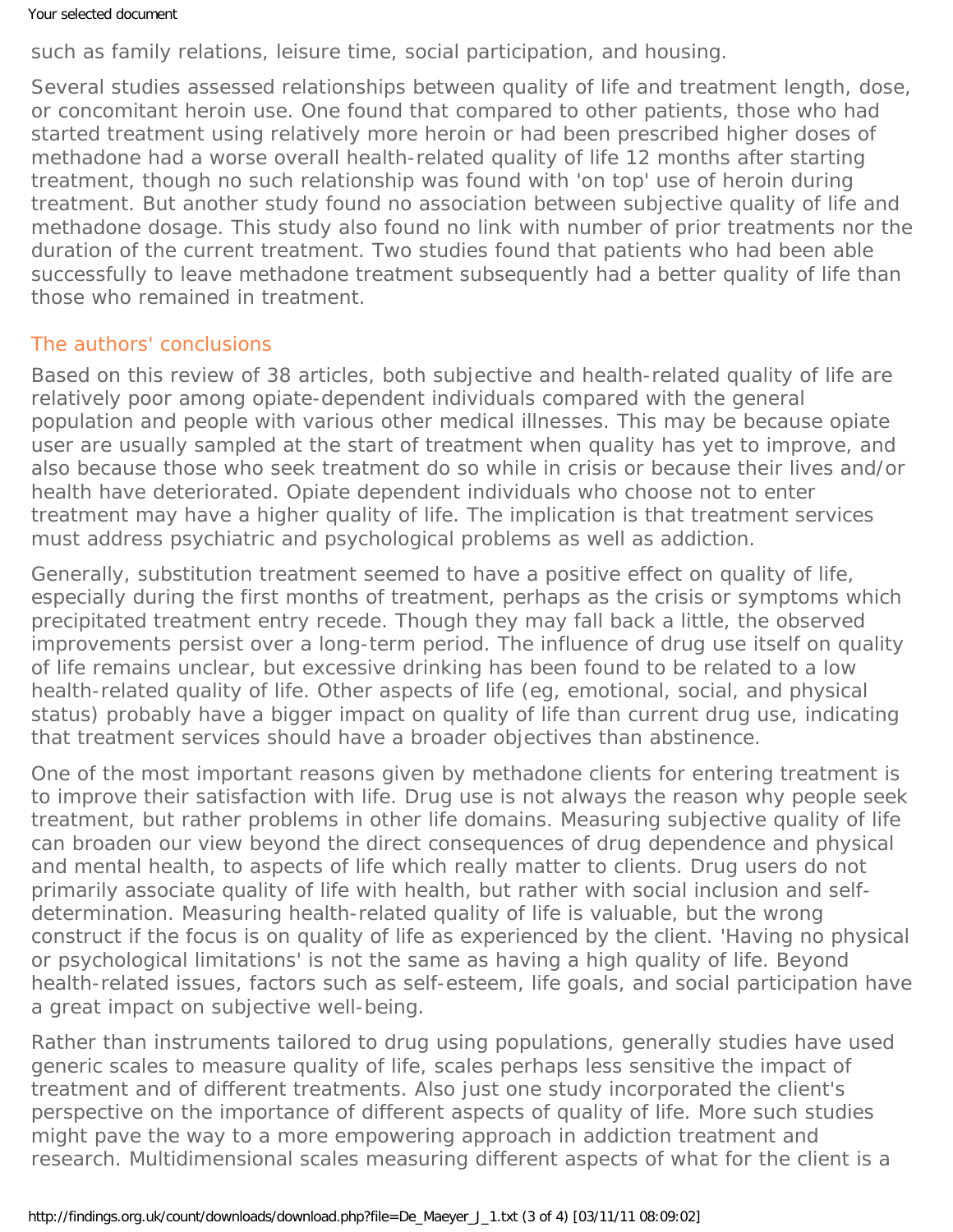### Your selected document

such as family relations, leisure time, social participation, and housing.

Several studies assessed relationships between quality of life and treatment length, dose, or concomitant heroin use. One found that compared to other patients, those who had started treatment using relatively more heroin or had been prescribed higher doses of methadone had a worse overall health-related quality of life 12 months after starting treatment, though no such relationship was found with 'on top' use of heroin during treatment. But another study found no association between subjective quality of life and methadone dosage. This study also found no link with number of prior treatments nor the duration of the current treatment. Two studies found that patients who had been able successfully to leave methadone treatment subsequently had a better quality of life than those who remained in treatment.

# The authors' conclusions

Based on this review of 38 articles, both subjective and health-related quality of life are relatively poor among opiate-dependent individuals compared with the general population and people with various other medical illnesses. This may be because opiate user are usually sampled at the start of treatment when quality has yet to improve, and also because those who seek treatment do so while in crisis or because their lives and/or health have deteriorated. Opiate dependent individuals who choose not to enter treatment may have a higher quality of life. The implication is that treatment services must address psychiatric and psychological problems as well as addiction.

Generally, substitution treatment seemed to have a positive effect on quality of life, especially during the first months of treatment, perhaps as the crisis or symptoms which precipitated treatment entry recede. Though they may fall back a little, the observed improvements persist over a long-term period. The influence of drug use itself on quality of life remains unclear, but excessive drinking has been found to be related to a low health-related quality of life. Other aspects of life (eg, emotional, social, and physical status) probably have a bigger impact on quality of life than current drug use, indicating that treatment services should have a broader objectives than abstinence.

One of the most important reasons given by methadone clients for entering treatment is to improve their satisfaction with life. Drug use is not always the reason why people seek treatment, but rather problems in other life domains. Measuring subjective quality of life can broaden our view beyond the direct consequences of drug dependence and physical and mental health, to aspects of life which really matter to clients. Drug users do not primarily associate quality of life with health, but rather with social inclusion and selfdetermination. Measuring health-related quality of life is valuable, but the wrong construct if the focus is on quality of life as experienced by the client. 'Having no physical or psychological limitations' is not the same as having a high quality of life. Beyond health-related issues, factors such as self-esteem, life goals, and social participation have a great impact on subjective well-being.

Rather than instruments tailored to drug using populations, generally studies have used generic scales to measure quality of life, scales perhaps less sensitive the impact of treatment and of different treatments. Also just one study incorporated the client's perspective on the importance of different aspects of quality of life. More such studies might pave the way to a more empowering approach in addiction treatment and research. Multidimensional scales measuring different aspects of what for the client is a